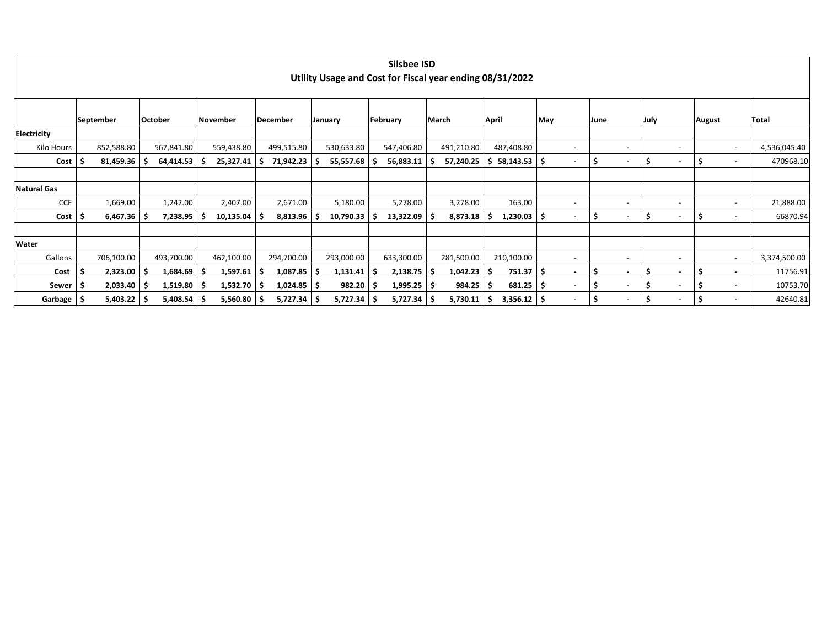|                    |               |                |                 |    |                          |            | Silsbee ISD<br>Utility Usage and Cost for Fiscal year ending 08/31/2022 |     |            |    |                           |     |                          |             |                          |                          |               |                          |              |
|--------------------|---------------|----------------|-----------------|----|--------------------------|------------|-------------------------------------------------------------------------|-----|------------|----|---------------------------|-----|--------------------------|-------------|--------------------------|--------------------------|---------------|--------------------------|--------------|
|                    | September     | October        | <b>November</b> |    | December                 | January    | February                                                                |     | March      |    | April                     | May |                          | <b>June</b> |                          | July                     | <b>August</b> |                          | Total        |
| Electricity        |               |                |                 |    |                          |            |                                                                         |     |            |    |                           |     |                          |             |                          |                          |               |                          |              |
| Kilo Hours         | 852,588.80    | 567,841.80     | 559,438.80      |    | 499,515.80               | 530,633.80 | 547,406.80                                                              |     | 491,210.80 |    | 487,408.80                |     | $\overline{\phantom{a}}$ |             | $\overline{\phantom{0}}$ | $\overline{\phantom{a}}$ |               | $\overline{\phantom{a}}$ | 4,536,045.40 |
| $Cost \mid$        | 81,459.36     | $64,414.53$ \$ | 25,327.41       | -S | 71,942.23                | 55,557.68  | 56,883.11                                                               |     | 57,240.25  | S  | $58,143.53$ $\frac{1}{5}$ |     |                          | \$          | $\blacksquare$           | -S<br>$\blacksquare$     | -S            | $\blacksquare$           | 470968.10    |
|                    |               |                |                 |    |                          |            |                                                                         |     |            |    |                           |     |                          |             |                          |                          |               |                          |              |
| <b>Natural Gas</b> |               |                |                 |    |                          |            |                                                                         |     |            |    |                           |     |                          |             |                          |                          |               |                          |              |
| <b>CCF</b>         | 1,669.00      | 1,242.00       | 2,407.00        |    | 2,671.00                 | 5,180.00   | 5,278.00                                                                |     | 3,278.00   |    | 163.00                    |     |                          |             | $\overline{\phantom{a}}$ | $\overline{\phantom{a}}$ |               | $\overline{\phantom{a}}$ | 21,888.00    |
| $Cost$   \$        | $6,467.36$ \$ | 7,238.95       | 10,135.04       |    | $8,813.96$ $\frac{1}{5}$ | 10,790.33  | 13,322.09                                                               | ۱S  | 8,873.18   | .S | $1,230.03$   \$           |     | $\blacksquare$           | -\$         | $\blacksquare$           | ۱\$<br>$\blacksquare$    | -S            | $\overline{\phantom{0}}$ | 66870.94     |
|                    |               |                |                 |    |                          |            |                                                                         |     |            |    |                           |     |                          |             |                          |                          |               |                          |              |
| Water              |               |                |                 |    |                          |            |                                                                         |     |            |    |                           |     |                          |             |                          |                          |               |                          |              |
| Gallons            | 706,100.00    | 493,700.00     | 462,100.00      |    | 294,700.00               | 293,000.00 | 633,300.00                                                              |     | 281,500.00 |    | 210,100.00                |     | $\overline{\phantom{a}}$ |             | $\overline{\phantom{0}}$ | $\overline{\phantom{a}}$ |               | $\overline{\phantom{a}}$ | 3,374,500.00 |
| Cost               | 2,323.00      | 1,684.69       | 1,597.61        | -S | 1,087.85                 | 1,131.41   | 2,138.75                                                                | - 5 | 1,042.23   | -S | 751.37 \$                 |     | $\sim$                   | S           | $\blacksquare$           | - S<br>$\blacksquare$    | -S            | $\overline{\phantom{0}}$ | 11756.91     |
| Sewer   \$         | $2,033.40$ \$ | 1,519.80       | 1,532.70        | ۱s | $1,024.85$   \$          | 982.20     | 1,995.25                                                                | l S | 984.25     | .s | $681.25$ $\frac{1}{5}$    |     | $\blacksquare$           | S           | $\overline{\phantom{a}}$ | - S<br>$\blacksquare$    | -S            | $\overline{\phantom{0}}$ | 10753.70     |
| Garbage   \$       | $5,403.22$ \$ | $5,408.54$ \$  | 5,560.80        | ١S | $5,727.34$ \$            | 5,727.34   | 5,727.34                                                                | l S | 5,730.11   | -S | $3,356.12$ \$             |     | $\blacksquare$           | Ś           | $\blacksquare$           | -S<br>$\blacksquare$     | -S            | $\overline{\phantom{a}}$ | 42640.81     |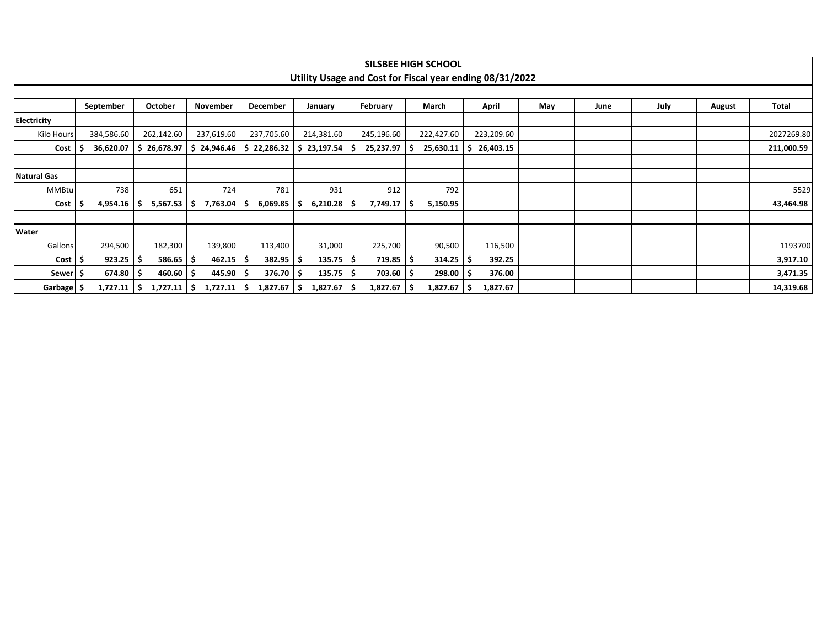|                    |                                                                                         |          |                       |                      |                |        | Utility Usage and Cost for Fiscal year ending 08/31/2022 |  |            |     | <b>SILSBEE HIGH SCHOOL</b> |    |            |     |  |      |      |               |            |
|--------------------|-----------------------------------------------------------------------------------------|----------|-----------------------|----------------------|----------------|--------|----------------------------------------------------------|--|------------|-----|----------------------------|----|------------|-----|--|------|------|---------------|------------|
|                    |                                                                                         |          |                       |                      |                |        |                                                          |  |            |     |                            |    |            |     |  |      |      |               |            |
|                    |                                                                                         |          |                       |                      |                |        |                                                          |  |            |     |                            |    |            |     |  |      |      |               |            |
|                    | September                                                                               |          | October               | November             | December       |        | January                                                  |  | February   |     | March                      |    | April      | May |  | June | July | <b>August</b> | Total      |
| <b>Electricity</b> |                                                                                         |          |                       |                      |                |        |                                                          |  |            |     |                            |    |            |     |  |      |      |               |            |
| Kilo Hours         | 384,586.60                                                                              |          | 262,142.60            | 237,619.60           | 237,705.60     |        | 214,381.60                                               |  | 245,196.60 |     | 222,427.60                 |    | 223,209.60 |     |  |      |      |               | 2027269.80 |
| Cost               |                                                                                         |          | 26,678.97<br>S.       | \$24,946.46          | -S             |        | 23,197.54                                                |  | 25,237.97  | -S  | 25,630.11                  |    | 26,403.15  |     |  |      |      |               | 211,000.59 |
|                    |                                                                                         |          |                       |                      |                |        |                                                          |  |            |     |                            |    |            |     |  |      |      |               |            |
| <b>Natural Gas</b> | 36,620.07<br>22,286.32<br>651<br>781<br>912<br>792<br><b>MMBtu</b><br>738<br>724<br>931 |          |                       |                      |                |        |                                                          |  |            |     |                            |    |            |     |  |      |      |               |            |
|                    |                                                                                         |          |                       |                      |                |        |                                                          |  |            |     |                            |    |            |     |  |      |      |               | 5529       |
| Cost               | -5                                                                                      | 4,954.16 | 5,567.53<br>$\cdot$ 5 | 7,763.04<br><u>ь</u> | 6,069.85       |        | 6,210.28                                                 |  | 7,749.17   | -S  | 5,150.95                   |    |            |     |  |      |      |               | 43,464.98  |
|                    |                                                                                         |          |                       |                      |                |        |                                                          |  |            |     |                            |    |            |     |  |      |      |               |            |
| Water              |                                                                                         |          |                       |                      |                |        |                                                          |  |            |     |                            |    |            |     |  |      |      |               |            |
| Gallons            |                                                                                         | 294,500  | 182,300               | 139,800              | 113,400        |        | 31,000                                                   |  | 225,700    |     | 90,500                     |    | 116,500    |     |  |      |      |               | 1193700    |
| $Cost$   \$        |                                                                                         | 923.25   | 586.65                | 462.15               |                | 382.95 | 135.75                                                   |  | 719.85     | -S  | 314.25                     | -5 | 392.25     |     |  |      |      |               | 3,917.10   |
| Sewer  \$          |                                                                                         | 674.80   | 460.60                | 445.90               |                | 376.70 | $135.75$ $\frac{1}{2}$                                   |  | 703.60     | - S | 298.00                     | -S | 376.00     |     |  |      |      |               | 3,471.35   |
| Garbage   \$       |                                                                                         | 1,727.11 | 1,727.11<br>l S       | 1,727.11<br>-S       | 1,827.67<br>١S |        | 1,827.67<br>-S                                           |  | 1,827.67   | -S  | 1,827.67                   | -S | 1,827.67   |     |  |      |      |               | 14,319.68  |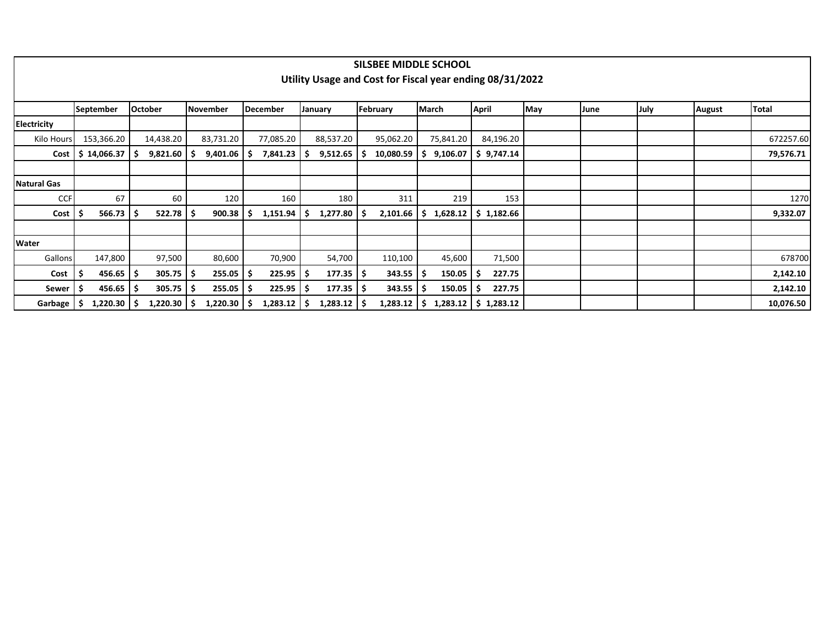|                    |                        |                |           |                     |                | SILSBEE MIDDLE SCHOOL                                    |                |                          |     |      |      |               |              |
|--------------------|------------------------|----------------|-----------|---------------------|----------------|----------------------------------------------------------|----------------|--------------------------|-----|------|------|---------------|--------------|
|                    |                        |                |           |                     |                | Utility Usage and Cost for Fiscal year ending 08/31/2022 |                |                          |     |      |      |               |              |
|                    |                        |                |           |                     |                |                                                          |                |                          |     |      |      |               |              |
|                    | <b>September</b>       | <b>October</b> | November  | December            | January        | February                                                 | <b>March</b>   | <b>April</b>             | May | June | July | <b>August</b> | <b>Total</b> |
| <b>Electricity</b> |                        |                |           |                     |                |                                                          |                |                          |     |      |      |               |              |
| Kilo Hours         | 153,366.20             | 14,438.20      | 83,731.20 | 77,085.20           | 88,537.20      | 95,062.20                                                | 75,841.20      | 84,196.20                |     |      |      |               | 672257.60    |
| Cost               | \$14,066.37            | 9,821.60       | 9,401.06  | 7,841.23<br>-S      | 9,512.65<br>-S | 10,080.59                                                | 9,106.07<br>S. | \$9,747.14               |     |      |      |               | 79,576.71    |
|                    |                        |                |           |                     |                |                                                          |                |                          |     |      |      |               |              |
| <b>Natural Gas</b> |                        |                |           |                     |                |                                                          |                |                          |     |      |      |               |              |
| <b>CCF</b>         | 67                     | 60             | 120       | 160                 | 180            | 311                                                      | 219            | 153                      |     |      |      |               | 1270         |
| Cost               | $566.73$ $\frac{1}{5}$ | 522.78         | 900.38    | 1,151.94<br>-S      | 1,277.80<br>S  | 2,101.66<br>-S                                           | S              | $1,628.12$   \$ 1,182.66 |     |      |      |               | 9,332.07     |
|                    |                        |                |           |                     |                |                                                          |                |                          |     |      |      |               |              |
| Water              |                        |                |           |                     |                |                                                          |                |                          |     |      |      |               |              |
| Gallons            | 147,800                | 97,500         | 80,600    | 70,900              | 54,700         | 110,100                                                  | 45,600         | 71,500                   |     |      |      |               | 678700       |
| Cost               | $456.65$ \$            | 305.75         | 255.05    | $225.95$ \$<br>S    | 177.35         | $343.55$ $\frac{1}{5}$<br>-S                             | $150.05$   \$  | 227.75                   |     |      |      |               | 2,142.10     |
| Sewer              | $456.65$   \$          | 305.75         | 255.05    | $225.95$ \$<br>S    | 177.35         | 343.55<br>-S                                             | 150.05<br>-S   | 227.75<br>ΙŞ             |     |      |      |               | 2,142.10     |
| Garbage            | $1,220.30$   \$        | 1,220.30       | 1,220.30  | $1,283.12$ \$<br>-S | 1,283.12       | $1,283.12$   \$<br>۱S                                    |                | $1,283.12$   \$ 1,283.12 |     |      |      |               | 10,076.50    |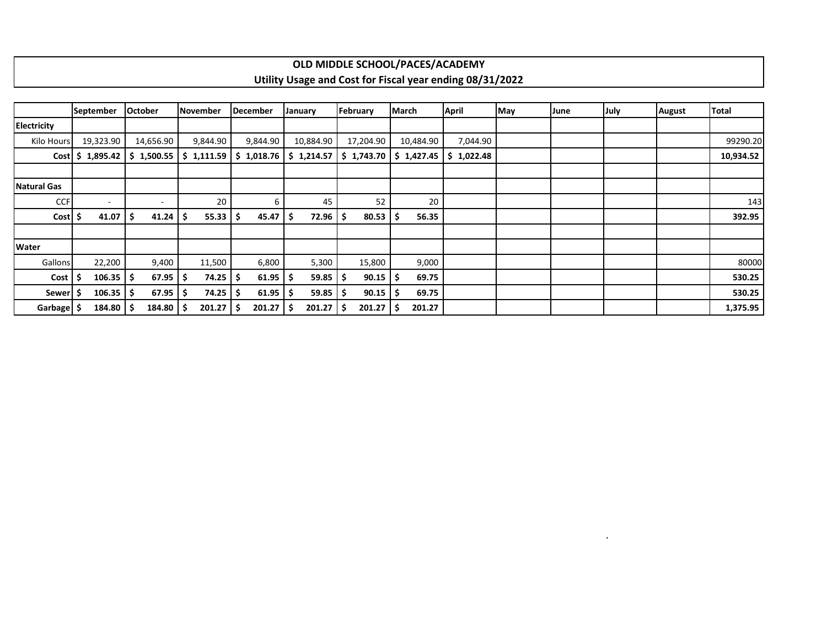## **OLD MIDDLE SCHOOL/PACES/ACADEMY Utility Usage and Cost for Fiscal year ending 08/31/2022**

|                    | <b>September</b>         |    | <b>October</b>           |     | <b>November</b> | December   |    | January    |   | February   | March |           | <b>April</b>                                        | May | June | July | <b>August</b> | Total     |
|--------------------|--------------------------|----|--------------------------|-----|-----------------|------------|----|------------|---|------------|-------|-----------|-----------------------------------------------------|-----|------|------|---------------|-----------|
| <b>Electricity</b> |                          |    |                          |     |                 |            |    |            |   |            |       |           |                                                     |     |      |      |               |           |
| Kilo Hours         | 19,323.90                |    | 14,656.90                |     | 9,844.90        | 9,844.90   |    | 10,884.90  |   | 17,204.90  |       | 10,484.90 | 7,044.90                                            |     |      |      |               | 99290.20  |
|                    | $Cost$ \$ 1,895.42       |    | \$1,500.55               |     | \$1,111.59      | \$1,018.76 |    | \$1,214.57 |   | \$1,743.70 |       |           | $\frac{1}{2}$ \$ 1,427.45 $\frac{1}{2}$ \$ 1,022.48 |     |      |      |               | 10,934.52 |
|                    |                          |    |                          |     |                 |            |    |            |   |            |       |           |                                                     |     |      |      |               |           |
| <b>Natural Gas</b> |                          |    |                          |     |                 |            |    |            |   |            |       |           |                                                     |     |      |      |               |           |
| <b>CCF</b>         | $\overline{\phantom{0}}$ |    | $\overline{\phantom{a}}$ |     | 20              | 6          |    | 45         |   | 52         |       | 20        |                                                     |     |      |      |               | 143       |
| Cost \$            | 41.07                    |    | 41.24                    | \$  | 55.33           | 45.47      |    | 72.96      |   | 80.53      | .s    | 56.35     |                                                     |     |      |      |               | 392.95    |
|                    |                          |    |                          |     |                 |            |    |            |   |            |       |           |                                                     |     |      |      |               |           |
| Water              |                          |    |                          |     |                 |            |    |            |   |            |       |           |                                                     |     |      |      |               |           |
| Gallons            | 22,200                   |    | 9,400                    |     | 11,500          | 6,800      |    | 5,300      |   | 15,800     |       | 9,000     |                                                     |     |      |      |               | 80000     |
| Cost               | 106.35                   | ۱S | 67.95                    | .\$ | 74.25           | 61.95      | -S | 59.85      | S | 90.15      | -S    | 69.75     |                                                     |     |      |      |               | 530.25    |
| <b>Sewer</b>       | 106.35                   |    | 67.95                    | \$  | 74.25           | 61.95      |    | 59.85      |   | 90.15      | -S    | 69.75     |                                                     |     |      |      |               | 530.25    |
| Garbage            | 184.80                   |    | 184.80                   | s   | 201.27          | 201.27     |    | 201.27     | s | 201.27     | S     | 201.27    |                                                     |     |      |      |               | 1,375.95  |

.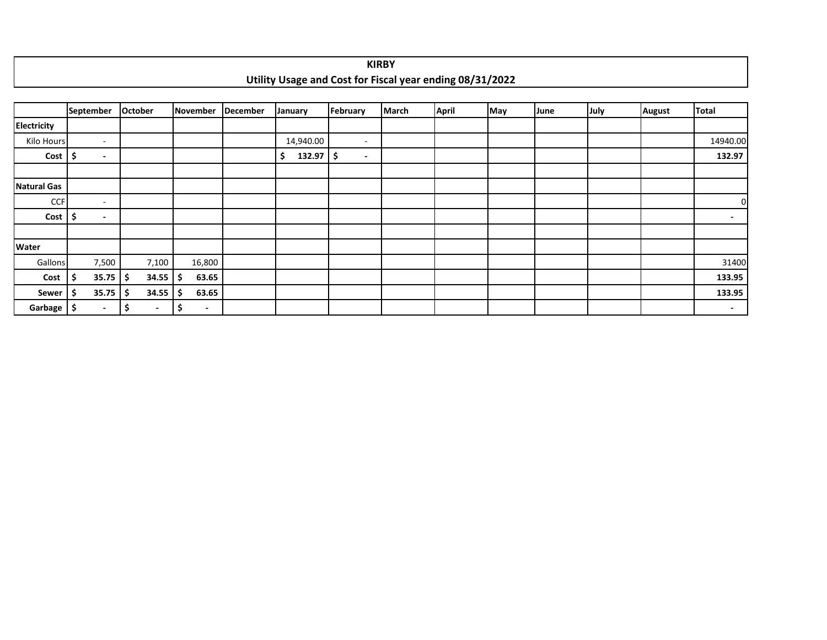|                       |      |                          |         |                          |                                |                 |                |              | <b>KIRBY</b> |                                                          |     |      |      |               |          |
|-----------------------|------|--------------------------|---------|--------------------------|--------------------------------|-----------------|----------------|--------------|--------------|----------------------------------------------------------|-----|------|------|---------------|----------|
|                       |      |                          |         |                          |                                |                 |                |              |              | Utility Usage and Cost for Fiscal year ending 08/31/2022 |     |      |      |               |          |
|                       |      |                          |         |                          |                                |                 |                |              |              |                                                          |     |      |      |               |          |
|                       |      | September                | October |                          | November                       | <b>December</b> | <b>January</b> | February     | <b>March</b> | <b>April</b>                                             | May | June | July | <b>August</b> | Total    |
| <b>Electricity</b>    |      |                          |         |                          |                                |                 |                |              |              |                                                          |     |      |      |               |          |
| Kilo Hours            |      | $\sim$                   |         |                          |                                |                 | 14,940.00      | $\sim$       |              |                                                          |     |      |      |               | 14940.00 |
| $Cost$   \$           |      | $\overline{\phantom{a}}$ |         |                          |                                |                 | \$<br>132.97   | \$<br>$\sim$ |              |                                                          |     |      |      |               | 132.97   |
|                       |      |                          |         |                          |                                |                 |                |              |              |                                                          |     |      |      |               |          |
| <b>Natural Gas</b>    |      |                          |         |                          |                                |                 |                |              |              |                                                          |     |      |      |               |          |
| <b>CCF</b>            |      | $\overline{\phantom{a}}$ |         |                          |                                |                 |                |              |              |                                                          |     |      |      |               | 0        |
| $Cost$ $\frac{1}{5}$  |      | $\overline{\phantom{a}}$ |         |                          |                                |                 |                |              |              |                                                          |     |      |      |               | $\sim$   |
|                       |      |                          |         |                          |                                |                 |                |              |              |                                                          |     |      |      |               |          |
| Water                 |      |                          |         |                          |                                |                 |                |              |              |                                                          |     |      |      |               |          |
| Gallons               |      | 7,500                    |         | 7,100                    | 16,800                         |                 |                |              |              |                                                          |     |      |      |               | 31400    |
| Cost                  | \$   | 35.75                    | \$.     | 34.55                    | \$<br>63.65                    |                 |                |              |              |                                                          |     |      |      |               | 133.95   |
| Sewer                 | \$ ا | 35.75                    | Ŝ       | 34.55                    | \$<br>63.65                    |                 |                |              |              |                                                          |     |      |      |               | 133.95   |
| Garbage $\frac{1}{5}$ |      | $\overline{\phantom{a}}$ | \$      | $\overline{\phantom{a}}$ | \$<br>$\overline{\phantom{0}}$ |                 |                |              |              |                                                          |     |      |      |               | $\sim$   |

Г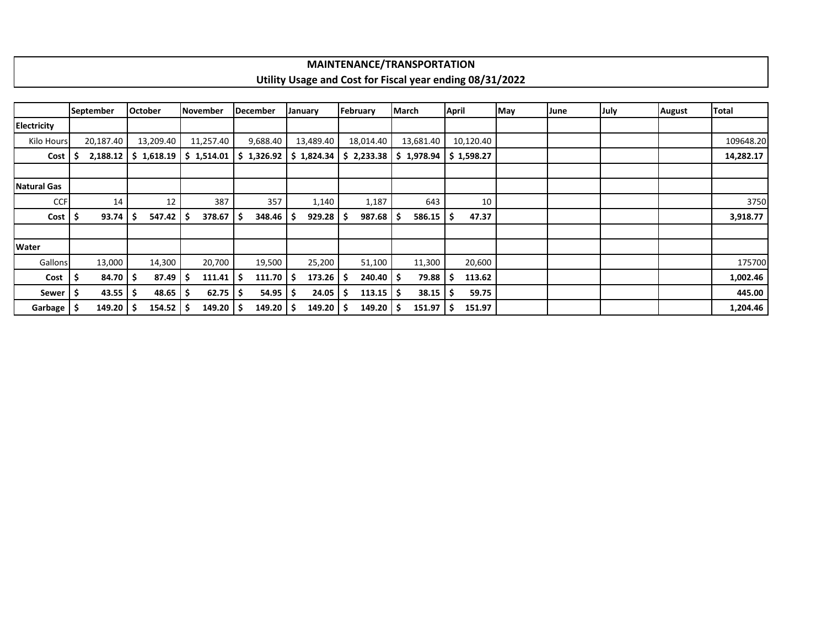## **MAINTENANCE/TRANSPORTATION Utility Usage and Cost for Fiscal year ending 08/31/2022**

|                    |     | <b>September</b> |    | <b>October</b>         |      | lNovember               |     | December |    | January    |    | February   | March |            | <b>April</b> |                        | May | June | July | <b>August</b> | <b>Total</b> |
|--------------------|-----|------------------|----|------------------------|------|-------------------------|-----|----------|----|------------|----|------------|-------|------------|--------------|------------------------|-----|------|------|---------------|--------------|
| <b>Electricity</b> |     |                  |    |                        |      |                         |     |          |    |            |    |            |       |            |              |                        |     |      |      |               |              |
| Kilo Hours         |     | 20,187.40        |    | 13,209.40              |      | 11,257.40               |     | 9,688.40 |    | 13,489.40  |    | 18,014.40  |       | 13,681.40  |              | 10,120.40              |     |      |      |               | 109648.20    |
| Cost               |     | 2,188.12         |    | $\frac{1}{2}$ 1,618.19 |      | \$1,514.01   \$1,326.92 |     |          |    | \$1,824.34 |    | \$2,233.38 |       | \$1,978.94 |              | $\frac{1}{2}$ 1,598.27 |     |      |      |               | 14,282.17    |
|                    |     |                  |    |                        |      |                         |     |          |    |            |    |            |       |            |              |                        |     |      |      |               |              |
| <b>Natural Gas</b> |     |                  |    |                        |      |                         |     |          |    |            |    |            |       |            |              |                        |     |      |      |               |              |
| <b>CCF</b>         |     | 14               |    | 12                     |      | 387                     |     | 357      |    | 1,140      |    | 1,187      |       | 643        |              | 10                     |     |      |      |               | 3750         |
| Cost               |     | 93.74            | S  | 547.42                 | -S   | 378.67                  | l S | 348.46   | -S | 929.28     |    | 987.68     |       | 586.15     | -S           | 47.37                  |     |      |      |               | 3,918.77     |
| Water              |     |                  |    |                        |      |                         |     |          |    |            |    |            |       |            |              |                        |     |      |      |               |              |
| Gallons            |     | 13,000           |    | 14,300                 |      | 20,700                  |     | 19,500   |    | 25,200     |    | 51,100     |       | 11,300     |              | 20,600                 |     |      |      |               | 175700       |
| Cost               | -\$ | 84.70            |    | 87.49                  | ا \$ | $111.41$   \$           |     | 111.70   | -S | 173.26     |    | $240.40$ 5 |       | 79.88      | -S           | 113.62                 |     |      |      |               | 1,002.46     |
| Sewer              |     | 43.55            | ۱s | 48.65                  | ا \$ | $62.75$ \$              |     | 54.95    | -S | 24.05      | -S | 113.15     |       | 38.15      |              | 59.75                  |     |      |      |               | 445.00       |
| Garbage   \$       |     | 149.20           |    | $154.52$   \$          |      | $149.20$   \$           |     | 149.20   | -5 | 149.20     |    | 149.20     |       | 151.97     | S            | 151.97                 |     |      |      |               | 1,204.46     |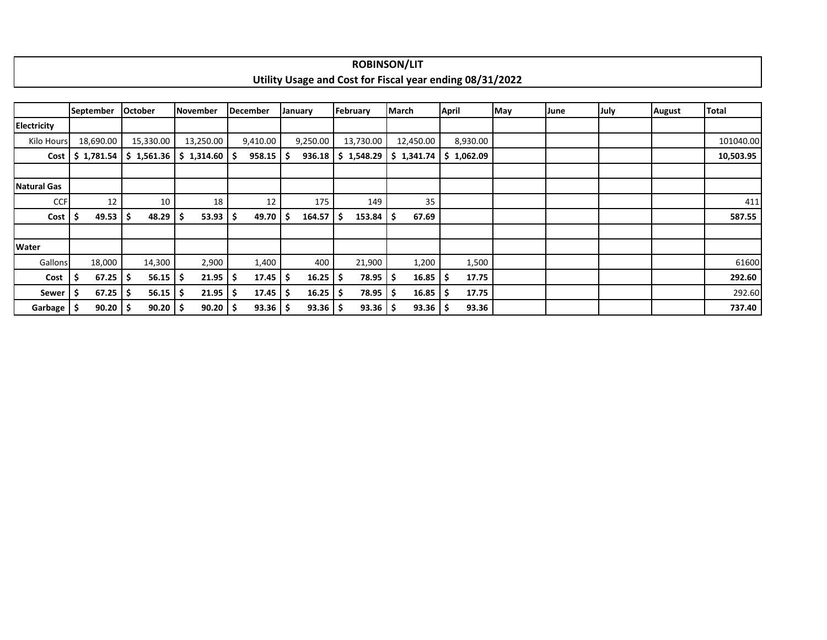|                    |                  |                |            |                 |     |                        |    |              |     | <b>ROBINSON/LIT</b> |              |              |                                                          |     |      |      |               |              |
|--------------------|------------------|----------------|------------|-----------------|-----|------------------------|----|--------------|-----|---------------------|--------------|--------------|----------------------------------------------------------|-----|------|------|---------------|--------------|
|                    |                  |                |            |                 |     |                        |    |              |     |                     |              |              | Utility Usage and Cost for Fiscal year ending 08/31/2022 |     |      |      |               |              |
|                    |                  |                |            |                 |     |                        |    |              |     |                     |              |              |                                                          |     |      |      |               |              |
|                    | <b>September</b> | <b>October</b> |            | November        |     | December               |    | January      |     | February            | <b>March</b> |              | <b>April</b>                                             | May | June | July | <b>August</b> | <b>Total</b> |
| Electricity        |                  |                |            |                 |     |                        |    |              |     |                     |              |              |                                                          |     |      |      |               |              |
| Kilo Hours         | 18,690.00        |                | 15,330.00  | 13,250.00       |     | 9,410.00               |    | 9,250.00     |     | 13,730.00           |              | 12,450.00    | 8,930.00                                                 |     |      |      |               | 101040.00    |
| Cost               | \$1,781.54       |                | \$1,561.36 | $$1,314.60$ $$$ |     | $958.15$ $\frac{1}{5}$ |    | 936.18       |     | \$1,548.29          |              | \$1,341.74   | \$1,062.09                                               |     |      |      |               | 10,503.95    |
|                    |                  |                |            |                 |     |                        |    |              |     |                     |              |              |                                                          |     |      |      |               |              |
| <b>Natural Gas</b> |                  |                |            |                 |     |                        |    |              |     |                     |              |              |                                                          |     |      |      |               |              |
| <b>CCF</b>         | 12               |                | 10         | 18              |     | 12                     |    | 175          |     | 149                 |              | 35           |                                                          |     |      |      |               | 411          |
| Cost               | 49.53            | Ś              | 48.29      | 53.93<br>S      | \$  | 49.70                  | -S | 164.57       | -\$ | 153.84              | \$           | 67.69        |                                                          |     |      |      |               | 587.55       |
|                    |                  |                |            |                 |     |                        |    |              |     |                     |              |              |                                                          |     |      |      |               |              |
| Water              |                  |                |            |                 |     |                        |    |              |     |                     |              |              |                                                          |     |      |      |               |              |
| <b>Gallons</b>     | 18,000           |                | 14,300     | 2,900           |     | 1,400                  |    | 400          |     | 21,900              |              | 1,200        | 1,500                                                    |     |      |      |               | 61600        |
| Cost               | 67.25<br>\$,     | S              | 56.15      | 21.95           | -\$ | $17.45$   \$           |    | 16.25        | ١Ş  | 78.95               | \$.          | 16.85        | 17.75                                                    |     |      |      |               | 292.60       |
| Sewer              | 67.25            | S              | 56.15      | 21.95<br>-S     | \$  | $17.45$   \$           |    | 16.25        | -S  | 78.95               | s            | 16.85        | 17.75                                                    |     |      |      |               | 292.60       |
| Garbage !          | 90.20<br>۱\$     |                | 90.20      | 90.20           | .\$ | $93.36$   \$           |    | $93.36$   \$ |     | 93.36               | ۱S           | $93.36$   \$ | 93.36                                                    |     |      |      |               | 737.40       |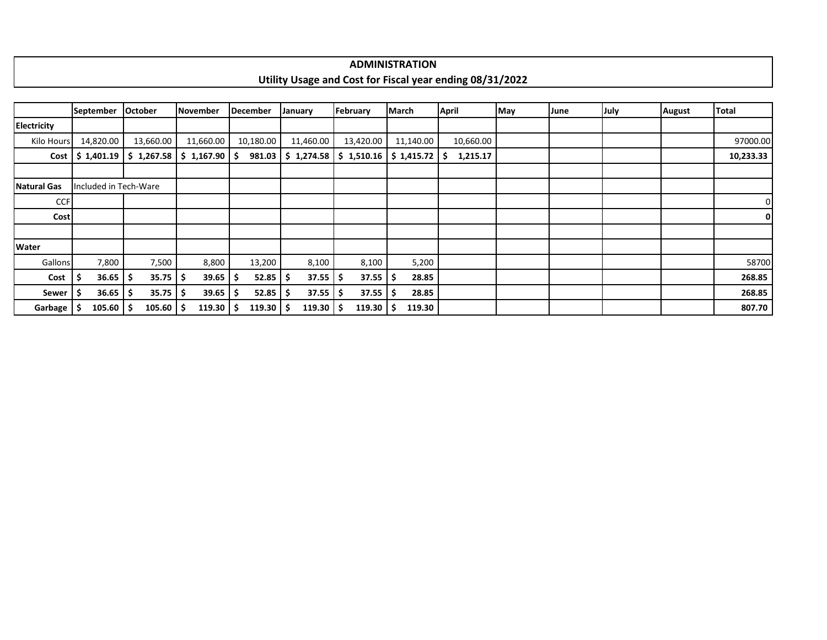| <b>ADMINISTRATION</b>                                                                     |
|-------------------------------------------------------------------------------------------|
| 31/2022<br>ending 08/31 <sup>.</sup><br>Utility<br>Cost tor<br>ובמע<br>τοι<br>anc<br>усан |
|                                                                                           |

|                    | September            |               | <b>October</b>        | <b>November</b> | December              | January     | February            | <b>March</b>                                  | <b>April</b> | May | June | July | <b>August</b> | <b>Total</b>   |
|--------------------|----------------------|---------------|-----------------------|-----------------|-----------------------|-------------|---------------------|-----------------------------------------------|--------------|-----|------|------|---------------|----------------|
| <b>Electricity</b> |                      |               |                       |                 |                       |             |                     |                                               |              |     |      |      |               |                |
| Kilo Hours         | 14,820.00            |               | 13,660.00             | 11,660.00       | 10,180.00             | 11,460.00   | 13,420.00           | 11,140.00                                     | 10,660.00    |     |      |      |               | 97000.00       |
|                    | $Cost$   \$ 1,401.19 |               | \$1,267.58            | \$1,167.90      | 981.03                | \$1,274.58  |                     | $\frac{1}{2}$ 1,510.16 $\frac{1}{2}$ 1,415.72 | 1,215.17     |     |      |      |               | 10,233.33      |
|                    |                      |               |                       |                 |                       |             |                     |                                               |              |     |      |      |               |                |
| <b>Natural Gas</b> |                      |               | Included in Tech-Ware |                 |                       |             |                     |                                               |              |     |      |      |               |                |
| <b>CCF</b>         |                      |               |                       |                 |                       |             |                     |                                               |              |     |      |      |               | $\overline{0}$ |
| <b>Cost</b>        |                      |               |                       |                 |                       |             |                     |                                               |              |     |      |      |               | 0              |
|                    |                      |               |                       |                 |                       |             |                     |                                               |              |     |      |      |               |                |
| Water              |                      |               |                       |                 |                       |             |                     |                                               |              |     |      |      |               |                |
| Gallons            |                      | 7,800         | 7,500                 | 8,800           | 13,200                | 8,100       | 8,100               | 5,200                                         |              |     |      |      |               | 58700          |
| Cost               |                      | $36.65$   \$  | 35.75                 | 39.65<br>ا \$   | $52.85$ $\frac{1}{2}$ | 37.55       | -S                  | 28.85<br>$37.55$ $\frac{1}{2}$                |              |     |      |      |               | 268.85         |
| Sewer              |                      | $36.65$   \$  | 35.75                 | 39.65<br>-S     | 52.85                 | 37.55<br>-S | -S                  | $37.55$ \$<br>28.85                           |              |     |      |      |               | 268.85         |
| Garbage            |                      | $105.60$   \$ | 105.60                | 119.30          | $119.30$   \$         | 119.30      | $119.30$   \$<br>.S | 119.30                                        |              |     |      |      |               | 807.70         |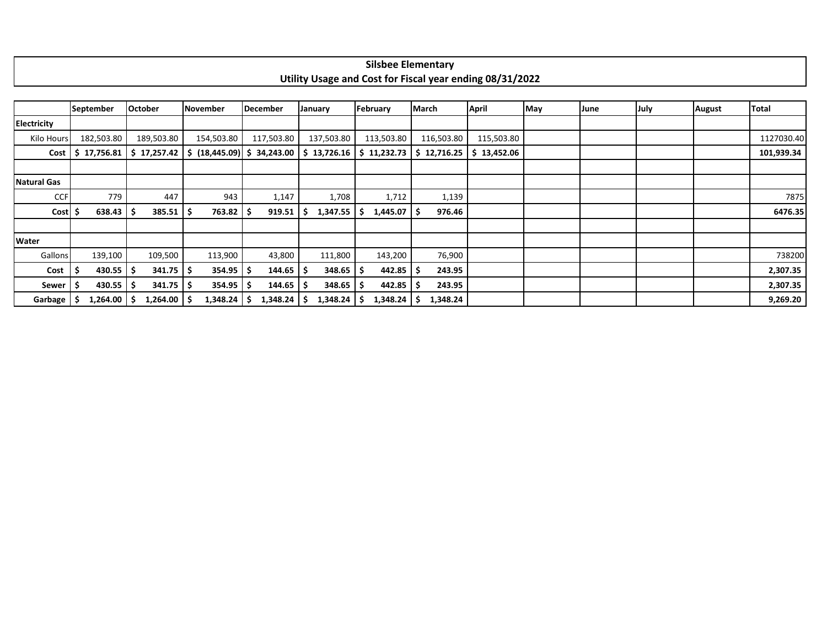| ---<br>silsbee<br>: Elementarv                           |
|----------------------------------------------------------|
| Utility Usage and Cost for Fiscal year ending 08/31/2022 |

|                    | September             |             | <b>October</b> | November        |        | December                   | January |               | February    | <b>March</b> |            | <b>April</b>              | May | June | July | <b>August</b> | <b>Total</b> |
|--------------------|-----------------------|-------------|----------------|-----------------|--------|----------------------------|---------|---------------|-------------|--------------|------------|---------------------------|-----|------|------|---------------|--------------|
| <b>Electricity</b> |                       |             |                |                 |        |                            |         |               |             |              |            |                           |     |      |      |               |              |
| Kilo Hours         | 182,503.80            |             | 189,503.80     | 154,503.80      |        | 117,503.80                 |         | 137,503.80    | 113,503.80  |              | 116,503.80 | 115,503.80                |     |      |      |               | 1127030.40   |
|                    | $Cost$   \$ 17,756.81 |             | \$17,257.42    | S.              |        | $(18,445.09)$ \$ 34,243.00 |         | \$13,726.16   | \$11,232.73 |              |            | $$12,716.25$ $$13,452.06$ |     |      |      |               | 101,939.34   |
|                    |                       |             |                |                 |        |                            |         |               |             |              |            |                           |     |      |      |               |              |
| <b>Natural Gas</b> |                       |             |                |                 |        |                            |         |               |             |              |            |                           |     |      |      |               |              |
| <b>CCF</b>         |                       | 779         | 447            |                 | 943    | 1,147                      |         | 1,708         | 1,712       |              | 1,139      |                           |     |      |      |               | 7875         |
| Cost               |                       | 638.43      | 385.51         | -S              | 763.82 | 919.51                     |         | 1,347.55      | 1,445.07    |              | 976.46     |                           |     |      |      |               | 6476.35      |
|                    |                       |             |                |                 |        |                            |         |               |             |              |            |                           |     |      |      |               |              |
| Water              |                       |             |                |                 |        |                            |         |               |             |              |            |                           |     |      |      |               |              |
| Gallons            | 139,100               |             | 109,500        | 113,900         |        | 43,800                     |         | 111,800       | 143,200     |              | 76,900     |                           |     |      |      |               | 738200       |
| Cost               |                       | 430.55      | 341.75         | -S              | 354.95 | 144.65                     |         | 348.65        | 442.85      |              | 243.95     |                           |     |      |      |               | 2,307.35     |
| Sewer              |                       | $430.55$ \$ | 341.75         | - 5             | 354.95 | 144.65<br>۱S               |         | 348.65        | 442.85      |              | 243.95     |                           |     |      |      |               | 2,307.35     |
| Garbage            | $1,264.00$ \$         |             | 1,264.00       | 1,348.24<br>- 5 |        | 1,348.24                   |         | $1,348.24$ \$ | 1,348.24    |              | 1,348.24   |                           |     |      |      |               | 9,269.20     |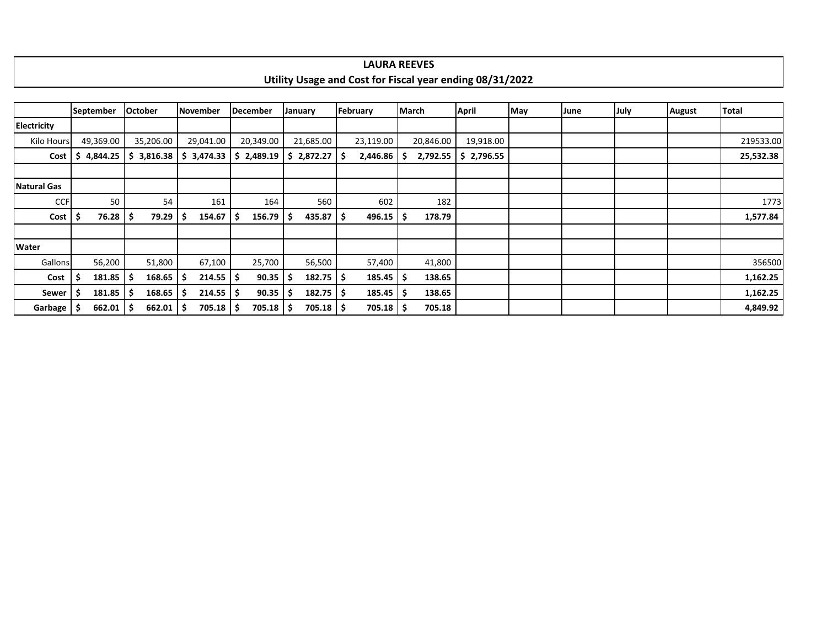|                       |           |                        |                |    |                        |    |                 |                    |             |           | Utility Usage and Cost for Fiscal year ending 08/31/2022 |     |      |      |               |           |
|-----------------------|-----------|------------------------|----------------|----|------------------------|----|-----------------|--------------------|-------------|-----------|----------------------------------------------------------|-----|------|------|---------------|-----------|
|                       |           |                        |                |    |                        |    |                 |                    |             |           |                                                          |     |      |      |               |           |
|                       | September |                        | <b>October</b> |    | November               |    | <b>December</b> | January            | February    | March     | April                                                    | May | June | July | <b>August</b> | Total     |
| Electricity           |           |                        |                |    |                        |    |                 |                    |             |           |                                                          |     |      |      |               |           |
| Kilo Hours            |           | 49,369.00              | 35,206.00      |    | 29,041.00              |    | 20,349.00       | 21,685.00          | 23,119.00   | 20,846.00 | 19,918.00                                                |     |      |      |               | 219533.00 |
| Cost                  | S         | 4,844.25               | \$3,816.38     |    | 3,474.33<br>S.         |    | \$2,489.19      | \$2,872.27         | 2,446.86    | 2,792.55  | \$2,796.55                                               |     |      |      |               | 25,532.38 |
|                       |           |                        |                |    |                        |    |                 |                    |             |           |                                                          |     |      |      |               |           |
| <b>Natural Gas</b>    |           |                        |                |    |                        |    |                 |                    |             |           |                                                          |     |      |      |               |           |
| <b>CCF</b>            |           | 50 <sup>°</sup>        |                | 54 | 161                    |    | 164             | 560                | 602         | 182       |                                                          |     |      |      |               | 1773      |
| Cost                  |           | 76.28                  | 79.29<br>-S    |    | 154.67                 | -S | 156.79          | $435.87$ $\mid$ \$ | 496.15      | 178.79    |                                                          |     |      |      |               | 1,577.84  |
|                       |           |                        |                |    |                        |    |                 |                    |             |           |                                                          |     |      |      |               |           |
| Water                 |           |                        |                |    |                        |    |                 |                    |             |           |                                                          |     |      |      |               |           |
| <b>Gallons</b>        |           | 56,200                 | 51,800         |    | 67,100                 |    | 25,700          | 56,500             | 57,400      | 41,800    |                                                          |     |      |      |               | 356500    |
| Cost                  |           | $181.85$ $\frac{1}{5}$ | 168.65         |    | $214.55$ $\frac{1}{5}$ |    | 90.35           | $182.75$   \$      | 185.45      | 138.65    |                                                          |     |      |      |               | 1,162.25  |
| Sewer                 | .\$       | 181.85                 | 168.65<br>-S   |    | $214.55$ $\frac{1}{5}$ |    | 90.35           | $182.75$   \$      | 185.45      | 138.65    |                                                          |     |      |      |               | 1,162.25  |
| Garbage $\frac{1}{5}$ |           | $662.01$   \$          | 662.01         |    | $705.18$ \$            |    | 705.18 \$       | $705.18$ \$        | $705.18$ \$ | 705.18    |                                                          |     |      |      |               | 4,849.92  |

## **LAURA REEVES**

 $\mathbf{I}$